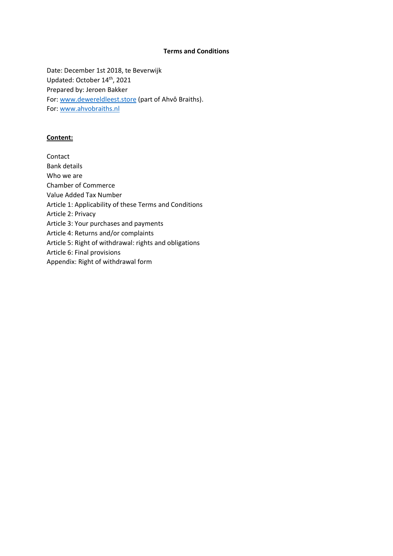## **Terms and Conditions**

Date: December 1st 2018, te Beverwijk Updated: October 14<sup>th</sup>, 2021 Prepared by: Jeroen Bakker For: [www.dewereldleest.store](http://www.dewereldleest.nl/) (part of Ahvô Braiths). For: [www.ahvobraiths.nl](http://www.ahvobraiths.nl/)

### **Content:**

Contact Bank details Who we are Chamber of Commerce Value Added Tax Number Article 1: Applicability of these Terms and Conditions Article 2: Privacy Article 3: Your purchases and payments Article 4: Returns and/or complaints Article 5: Right of withdrawal: rights and obligations Article 6: Final provisions Appendix: Right of withdrawal form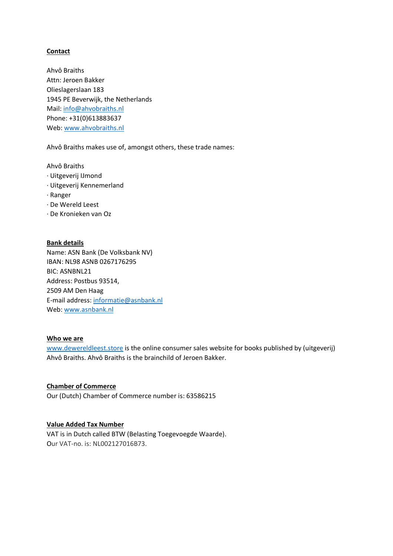# **Contact**

Ahvô Braiths Attn: Jeroen Bakker Olieslagerslaan 183 1945 PE Beverwijk, the Netherlands Mail: [info@ahvobraiths.nl](mailto:info@ahvobraiths.nl) Phone: +31(0)613883637 Web: [www.ahvobraiths.nl](http://www.ahvobraiths.nl/)

Ahvô Braiths makes use of, amongst others, these trade names:

Ahvô Braiths

- · Uitgeverij IJmond
- · Uitgeverij Kennemerland
- · Ranger
- · De Wereld Leest
- · De Kronieken van Oz

#### **Bank details**

Name: ASN Bank (De Volksbank NV) IBAN: NL98 ASNB 0267176295 BIC: ASNBNL21 Address: Postbus 93514, 2509 AM Den Haag E-mail address: [informatie@asnbank.nl](mailto:informatie@asnbank.nl) Web: [www.asnbank.nl](http://www.asnbank.nl/)

#### **Who we are**

[www.dewereldleest.store](http://www.dewereldleest.nl/) is the online consumer sales website for books published by (uitgeverij) Ahvô Braiths. Ahvô Braiths is the brainchild of Jeroen Bakker.

## **Chamber of Commerce**

Our (Dutch) Chamber of Commerce number is: 63586215

#### **Value Added Tax Number**

VAT is in Dutch called BTW (Belasting Toegevoegde Waarde). Our VAT-no. is: NL002127016B73.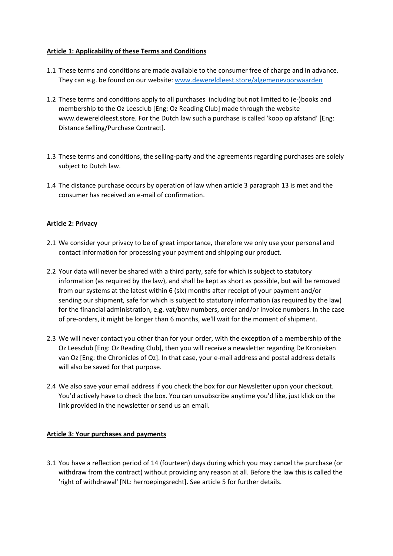# **Article 1: Applicability of these Terms and Conditions**

- 1.1 These terms and conditions are made available to the consumer free of charge and in advance. They can e.g. be found on our website: [www.dewereldleest.store/algemenevoorwaarden](http://www.dewereldleest.nl/algemenevoorwaarden)
- 1.2 These terms and conditions apply to all purchases including but not limited to (e-)books and membership to the Oz Leesclub [Eng: Oz Reading Club] made through the website www.dewereldleest.store. For the Dutch law such a purchase is called 'koop op afstand' [Eng: Distance Selling/Purchase Contract].
- 1.3 These terms and conditions, the selling-party and the agreements regarding purchases are solely subject to Dutch law.
- 1.4 The distance purchase occurs by operation of law when article 3 paragraph 13 is met and the consumer has received an e-mail of confirmation.

### **Article 2: Privacy**

- 2.1 We consider your privacy to be of great importance, therefore we only use your personal and contact information for processing your payment and shipping our product.
- 2.2 Your data will never be shared with a third party, safe for which is subject to statutory information (as required by the law), and shall be kept as short as possible, but will be removed from our systems at the latest within 6 (six) months after receipt of your payment and/or sending our shipment, safe for which is subject to statutory information (as required by the law) for the financial administration, e.g. vat/btw numbers, order and/or invoice numbers. In the case of pre-orders, it might be longer than 6 months, we'll wait for the moment of shipment.
- 2.3 We will never contact you other than for your order, with the exception of a membership of the Oz Leesclub [Eng: Oz Reading Club], then you will receive a newsletter regarding De Kronieken van Oz [Eng: the Chronicles of Oz]. In that case, your e-mail address and postal address details will also be saved for that purpose.
- 2.4 We also save your email address if you check the box for our Newsletter upon your checkout. You'd actively have to check the box. You can unsubscribe anytime you'd like, just klick on the link provided in the newsletter or send us an email.

### **Article 3: Your purchases and payments**

3.1 You have a reflection period of 14 (fourteen) days during which you may cancel the purchase (or withdraw from the contract) without providing any reason at all. Before the law this is called the 'right of withdrawal' [NL: herroepingsrecht]. See article 5 for further details.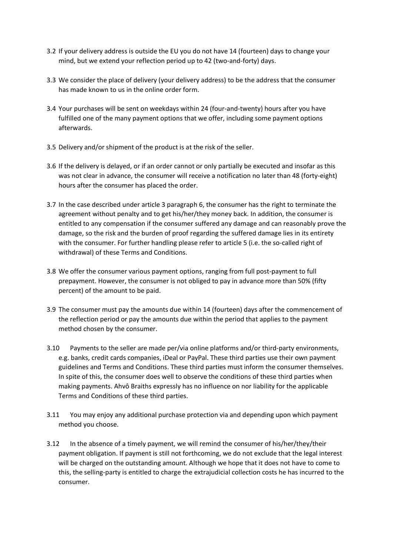- 3.2 If your delivery address is outside the EU you do not have 14 (fourteen) days to change your mind, but we extend your reflection period up to 42 (two-and-forty) days.
- 3.3 We consider the place of delivery (your delivery address) to be the address that the consumer has made known to us in the online order form.
- 3.4 Your purchases will be sent on weekdays within 24 (four-and-twenty) hours after you have fulfilled one of the many payment options that we offer, including some payment options afterwards.
- 3.5 Delivery and/or shipment of the product is at the risk of the seller.
- 3.6 If the delivery is delayed, or if an order cannot or only partially be executed and insofar as this was not clear in advance, the consumer will receive a notification no later than 48 (forty-eight) hours after the consumer has placed the order.
- 3.7 In the case described under article 3 paragraph 6, the consumer has the right to terminate the agreement without penalty and to get his/her/they money back. In addition, the consumer is entitled to any compensation if the consumer suffered any damage and can reasonably prove the damage, so the risk and the burden of proof regarding the suffered damage lies in its entirety with the consumer. For further handling please refer to article 5 (i.e. the so-called right of withdrawal) of these Terms and Conditions.
- 3.8 We offer the consumer various payment options, ranging from full post-payment to full prepayment. However, the consumer is not obliged to pay in advance more than 50% (fifty percent) of the amount to be paid.
- 3.9 The consumer must pay the amounts due within 14 (fourteen) days after the commencement of the reflection period or pay the amounts due within the period that applies to the payment method chosen by the consumer.
- 3.10 Payments to the seller are made per/via online platforms and/or third-party environments, e.g. banks, credit cards companies, iDeal or PayPal. These third parties use their own payment guidelines and Terms and Conditions. These third parties must inform the consumer themselves. In spite of this, the consumer does well to observe the conditions of these third parties when making payments. Ahvô Braiths expressly has no influence on nor liability for the applicable Terms and Conditions of these third parties.
- 3.11 You may enjoy any additional purchase protection via and depending upon which payment method you choose.
- 3.12 In the absence of a timely payment, we will remind the consumer of his/her/they/their payment obligation. If payment is still not forthcoming, we do not exclude that the legal interest will be charged on the outstanding amount. Although we hope that it does not have to come to this, the selling-party is entitled to charge the extrajudicial collection costs he has incurred to the consumer.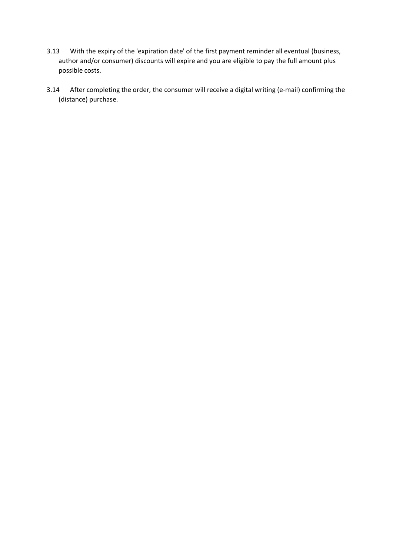- 3.13 With the expiry of the 'expiration date' of the first payment reminder all eventual (business, author and/or consumer) discounts will expire and you are eligible to pay the full amount plus possible costs.
- 3.14 After completing the order, the consumer will receive a digital writing (e-mail) confirming the (distance) purchase.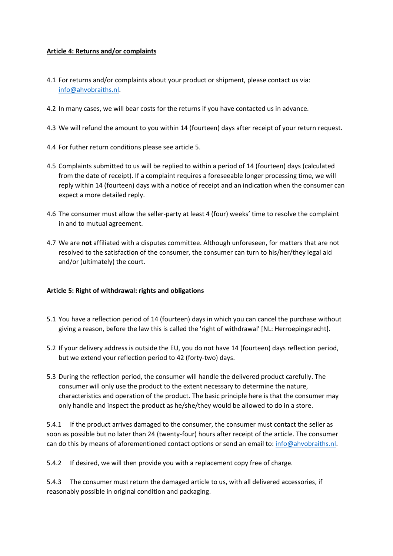# **Article 4: Returns and/or complaints**

- 4.1 For returns and/or complaints about your product or shipment, please contact us via: [info@ahvobraiths.nl.](mailto:info@ahvobraiths.nl)
- 4.2 In many cases, we will bear costs for the returns if you have contacted us in advance.
- 4.3 We will refund the amount to you within 14 (fourteen) days after receipt of your return request.
- 4.4 For futher return conditions please see article 5.
- 4.5 Complaints submitted to us will be replied to within a period of 14 (fourteen) days (calculated from the date of receipt). If a complaint requires a foreseeable longer processing time, we will reply within 14 (fourteen) days with a notice of receipt and an indication when the consumer can expect a more detailed reply.
- 4.6 The consumer must allow the seller-party at least 4 (four) weeks' time to resolve the complaint in and to mutual agreement.
- 4.7 We are **not** affiliated with a disputes committee. Although unforeseen, for matters that are not resolved to the satisfaction of the consumer, the consumer can turn to his/her/they legal aid and/or (ultimately) the court.

### **Article 5: Right of withdrawal: rights and obligations**

- 5.1 You have a reflection period of 14 (fourteen) days in which you can cancel the purchase without giving a reason, before the law this is called the 'right of withdrawal' [NL: Herroepingsrecht].
- 5.2 If your delivery address is outside the EU, you do not have 14 (fourteen) days reflection period, but we extend your reflection period to 42 (forty-two) days.
- 5.3 During the reflection period, the consumer will handle the delivered product carefully. The consumer will only use the product to the extent necessary to determine the nature, characteristics and operation of the product. The basic principle here is that the consumer may only handle and inspect the product as he/she/they would be allowed to do in a store.

5.4.1 If the product arrives damaged to the consumer, the consumer must contact the seller as soon as possible but no later than 24 (twenty-four) hours after receipt of the article. The consumer can do this by means of aforementioned contact options or send an email to: [info@ahvobraiths.nl.](mailto:info@ahvobraiths.nl)

5.4.2 If desired, we will then provide you with a replacement copy free of charge.

5.4.3 The consumer must return the damaged article to us, with all delivered accessories, if reasonably possible in original condition and packaging.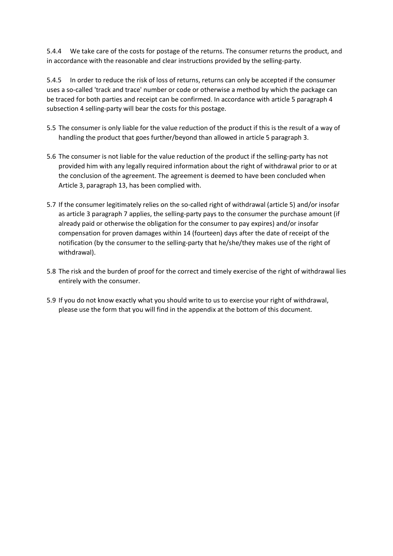5.4.4 We take care of the costs for postage of the returns. The consumer returns the product, and in accordance with the reasonable and clear instructions provided by the selling-party.

5.4.5 In order to reduce the risk of loss of returns, returns can only be accepted if the consumer uses a so-called 'track and trace' number or code or otherwise a method by which the package can be traced for both parties and receipt can be confirmed. In accordance with article 5 paragraph 4 subsection 4 selling-party will bear the costs for this postage.

- 5.5 The consumer is only liable for the value reduction of the product if this is the result of a way of handling the product that goes further/beyond than allowed in article 5 paragraph 3.
- 5.6 The consumer is not liable for the value reduction of the product if the selling-party has not provided him with any legally required information about the right of withdrawal prior to or at the conclusion of the agreement. The agreement is deemed to have been concluded when Article 3, paragraph 13, has been complied with.
- 5.7 If the consumer legitimately relies on the so-called right of withdrawal (article 5) and/or insofar as article 3 paragraph 7 applies, the selling-party pays to the consumer the purchase amount (if already paid or otherwise the obligation for the consumer to pay expires) and/or insofar compensation for proven damages within 14 (fourteen) days after the date of receipt of the notification (by the consumer to the selling-party that he/she/they makes use of the right of withdrawal).
- 5.8 The risk and the burden of proof for the correct and timely exercise of the right of withdrawal lies entirely with the consumer.
- 5.9 If you do not know exactly what you should write to us to exercise your right of withdrawal, please use the form that you will find in the appendix at the bottom of this document.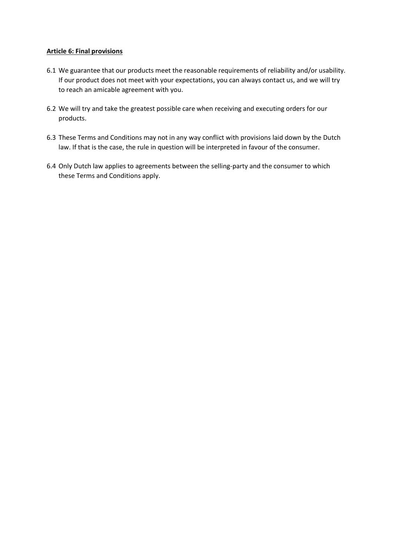# **Article 6: Final provisions**

- 6.1 We guarantee that our products meet the reasonable requirements of reliability and/or usability. If our product does not meet with your expectations, you can always contact us, and we will try to reach an amicable agreement with you.
- 6.2 We will try and take the greatest possible care when receiving and executing orders for our products.
- 6.3 These Terms and Conditions may not in any way conflict with provisions laid down by the Dutch law. If that is the case, the rule in question will be interpreted in favour of the consumer.
- 6.4 Only Dutch law applies to agreements between the selling-party and the consumer to which these Terms and Conditions apply.